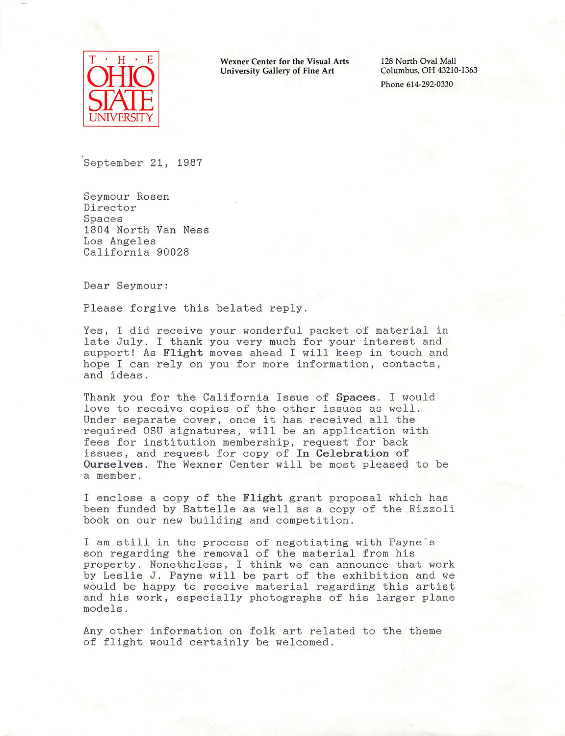

E Wexner Center for the Visual Arts University Gallery of Fine Art

128 North Oval Mall<br>Columbus, OH 43210-1363

September 21, 1987

Seymour Rosen Director Spaces 1804 North Van Ness Los Angeles California 90028

Dear Seymour:

Please forgive this belated reply.

Yes, I did receive your wonderful packet of material in late July. I thank you very much for your interest and support! As Flight moves ahead I will keep in touch and hope I can rely on you for more information, contacts, and ideas.

Thank you for the California Issue of Spaces. I would love to receive copies of the other issues as well. Under separate cover, once it has received all the required OSU signatures, will be an application with fees for institution membership, request for back issues, and request for copy of In Celebration of Ourselves. The Wexner Center will be most pleased to be a member.

I enclose a copy of the Flight grant proposal which has been funded by Battelle as well as a copy of the Rizzoli book on our new building and competition.

I am still in the process of negotiating with Payne's son regarding the removal of the material from his property. Nonetheless, I think we can announce that work by Leslie J. Payne will be part of the exhibition and we would be happy to receive material regarding this artist and his work, especially photographs of his larger plane models.

Any other information on folk art related to the theme of flight would certainly be welcomed.